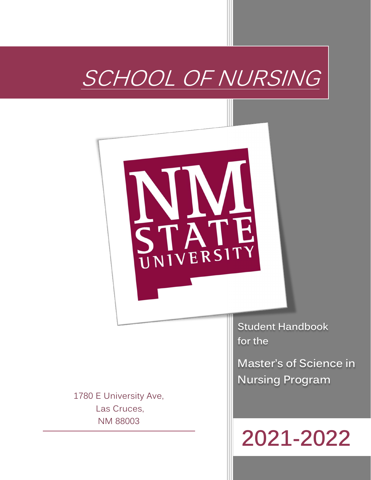# SCHOOL OF NURSING



1780 E University Ave, Las Cruces, NM 88003

**Student Handbook for the**

**Master's of Science in Nursing Program**

# **2021-2022**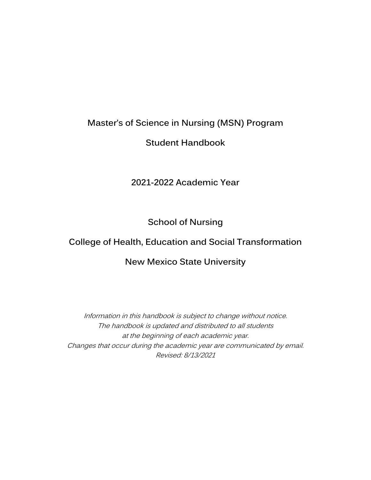## **Master's of Science in Nursing (MSN) Program**

## **Student Handbook**

## **2021-2022 Academic Year**

## **School of Nursing**

## **College of Health, Education and Social Transformation**

#### **New Mexico State University**

Information in this handbook is subject to change without notice. The handbook is updated and distributed to all students at the beginning of each academic year. Changes that occur during the academic year are communicated by email. Revised: 8/13/2021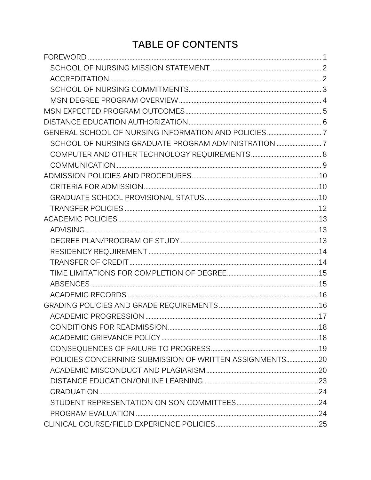## **TABLE OF CONTENTS**

| SCHOOL OF NURSING GRADUATE PROGRAM ADMINISTRATION  7    |  |
|---------------------------------------------------------|--|
|                                                         |  |
|                                                         |  |
|                                                         |  |
|                                                         |  |
|                                                         |  |
|                                                         |  |
|                                                         |  |
|                                                         |  |
|                                                         |  |
|                                                         |  |
|                                                         |  |
|                                                         |  |
|                                                         |  |
|                                                         |  |
|                                                         |  |
|                                                         |  |
|                                                         |  |
|                                                         |  |
|                                                         |  |
| POLICIES CONCERNING SUBMISSION OF WRITTEN ASSIGNMENTS20 |  |
|                                                         |  |
|                                                         |  |
|                                                         |  |
|                                                         |  |
|                                                         |  |
|                                                         |  |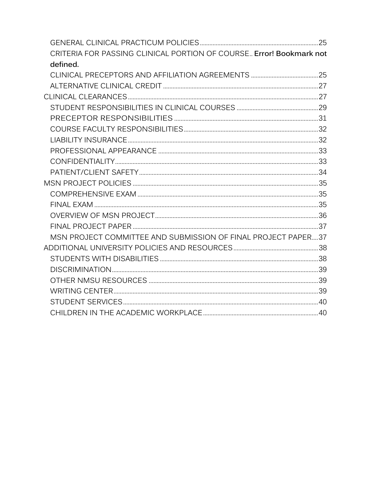| CRITERIA FOR PASSING CLINICAL PORTION OF COURSE. Error! Bookmark not |  |
|----------------------------------------------------------------------|--|
| defined.                                                             |  |
|                                                                      |  |
|                                                                      |  |
|                                                                      |  |
|                                                                      |  |
|                                                                      |  |
|                                                                      |  |
|                                                                      |  |
|                                                                      |  |
|                                                                      |  |
|                                                                      |  |
|                                                                      |  |
|                                                                      |  |
|                                                                      |  |
|                                                                      |  |
|                                                                      |  |
| MSN PROJECT COMMITTEE AND SUBMISSION OF FINAL PROJECT PAPER37        |  |
|                                                                      |  |
|                                                                      |  |
|                                                                      |  |
|                                                                      |  |
|                                                                      |  |
|                                                                      |  |
|                                                                      |  |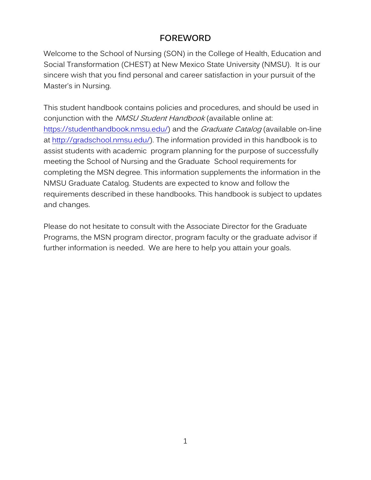### **FOREWORD**

<span id="page-4-0"></span>Welcome to the School of Nursing (SON) in the College of Health, Education and Social Transformation (CHEST) at New Mexico State University (NMSU). It is our sincere wish that you find personal and career satisfaction in your pursuit of the Master's in Nursing.

This student handbook contains policies and procedures, and should be used in conjunction with the NMSU Student Handbook (available online at: [https://studenthandbook.nmsu.edu/\)](https://studenthandbook.nmsu.edu/) and the *Graduate Catalog* (available on-line at [http://gradschool.nmsu.edu/\)](http://gradschool.nmsu.edu/). The information provided in this handbook is to assist students with academic program planning for the purpose of successfully meeting the School of Nursing and the Graduate School requirements for completing the MSN degree. This information supplements the information in the NMSU Graduate Catalog. Students are expected to know and follow the requirements described in these handbooks. This handbook is subject to updates and changes.

Please do not hesitate to consult with the Associate Director for the Graduate Programs, the MSN program director, program faculty or the graduate advisor if further information is needed. We are here to help you attain your goals.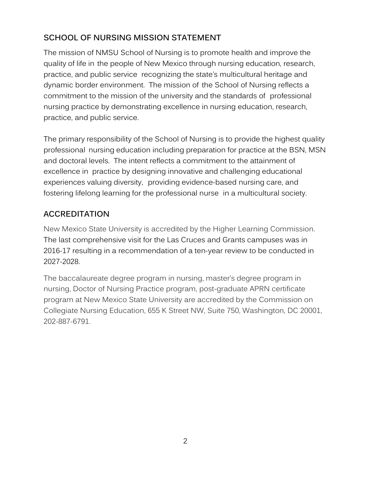## <span id="page-5-0"></span>**SCHOOL OF NURSING MISSION STATEMENT**

The mission of NMSU School of Nursing is to promote health and improve the quality of life in the people of New Mexico through nursing education, research, practice, and public service recognizing the state's multicultural heritage and dynamic border environment. The mission of the School of Nursing reflects a commitment to the mission of the university and the standards of professional nursing practice by demonstrating excellence in nursing education, research, practice, and public service.

The primary responsibility of the School of Nursing is to provide the highest quality professional nursing education including preparation for practice at the BSN, MSN and doctoral levels. The intent reflects a commitment to the attainment of excellence in practice by designing innovative and challenging educational experiences valuing diversity, providing evidence-based nursing care, and fostering lifelong learning for the professional nurse in a multicultural society.

## <span id="page-5-1"></span>**ACCREDITATION**

New Mexico State University is accredited by the Higher Learning Commission. The last comprehensive visit for the Las Cruces and Grants campuses was in 2016-17 resulting in a recommendation of a ten-year review to be conducted in 2027-2028.

The baccalaureate degree program in nursing, master's degree program in nursing, Doctor of Nursing Practice program, post-graduate APRN certificate program at New Mexico State University are accredited by the Commission on Collegiate Nursing Education, 655 K Street NW, Suite 750, Washington, DC 20001, 202-887-6791.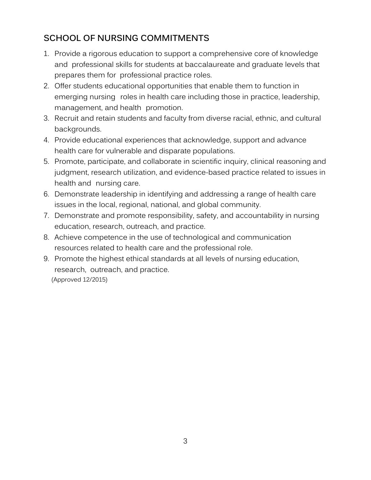## <span id="page-6-0"></span>**SCHOOL OF NURSING COMMITMENTS**

- 1. Provide a rigorous education to support a comprehensive core of knowledge and professional skills for students at baccalaureate and graduate levels that prepares them for professional practice roles.
- 2. Offer students educational opportunities that enable them to function in emerging nursing roles in health care including those in practice, leadership, management, and health promotion.
- 3. Recruit and retain students and faculty from diverse racial, ethnic, and cultural backgrounds.
- 4. Provide educational experiences that acknowledge, support and advance health care for vulnerable and disparate populations.
- 5. Promote, participate, and collaborate in scientific inquiry, clinical reasoning and judgment, research utilization, and evidence-based practice related to issues in health and nursing care.
- 6. Demonstrate leadership in identifying and addressing a range of health care issues in the local, regional, national, and global community.
- 7. Demonstrate and promote responsibility, safety, and accountability in nursing education, research, outreach, and practice.
- 8. Achieve competence in the use of technological and communication resources related to health care and the professional role.
- 9. Promote the highest ethical standards at all levels of nursing education, research, outreach, and practice. (Approved 12/2015)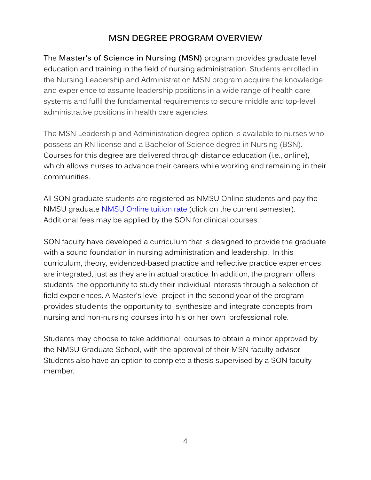## **MSN DEGREE PROGRAM OVERVIEW**

<span id="page-7-0"></span>The **Master's of Science in Nursing (MSN)** program provides graduate level education and training in the field of nursing administration. Students enrolled in the Nursing Leadership and Administration MSN program acquire the knowledge and experience to assume leadership positions in a wide range of health care systems and fulfil the fundamental requirements to secure middle and top-level administrative positions in health care agencies.

The MSN Leadership and Administration degree option is available to nurses who possess an RN license and a Bachelor of Science degree in Nursing (BSN). Courses for this degree are delivered through distance education (i.e., online), which allows nurses to advance their careers while working and remaining in their communities.

All SON graduate students are registered as NMSU Online students and pay the NMSU graduate [NMSU Online tuition rate](https://uar.nmsu.edu/tuition-fees/tuition-rates/) (click on the current semester). Additional fees may be applied by the SON for clinical courses.

SON faculty have developed a curriculum that is designed to provide the graduate with a sound foundation in nursing administration and leadership. In this curriculum, theory, evidenced-based practice and reflective practice experiences are integrated, just as they are in actual practice. In addition, the program offers students the opportunity to study their individual interests through a selection of field experiences. A Master's level project in the second year of the program provides students the opportunity to synthesize and integrate concepts from nursing and non-nursing courses into his or her own professional role.

Students may choose to take additional courses to obtain a minor approved by the NMSU Graduate School, with the approval of their MSN faculty advisor. Students also have an option to complete a thesis supervised by a SON faculty member.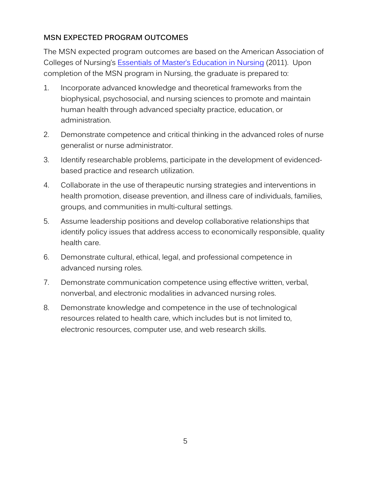#### <span id="page-8-0"></span>**MSN EXPECTED PROGRAM OUTCOMES**

The MSN expected program outcomes are based on the American Association of Colleges of Nursing's [Essentials of Master's Education in Nursing](http://www.aacnnursing.org/portals/42/publications/mastersessentials11.pdf) (2011). Upon completion of the MSN program in Nursing, the graduate is prepared to:

- 1. Incorporate advanced knowledge and theoretical frameworks from the biophysical, psychosocial, and nursing sciences to promote and maintain human health through advanced specialty practice, education, or administration.
- 2. Demonstrate competence and critical thinking in the advanced roles of nurse generalist or nurse administrator.
- 3. Identify researchable problems, participate in the development of evidencedbased practice and research utilization.
- 4. Collaborate in the use of therapeutic nursing strategies and interventions in health promotion, disease prevention, and illness care of individuals, families, groups, and communities in multi-cultural settings.
- 5. Assume leadership positions and develop collaborative relationships that identify policy issues that address access to economically responsible, quality health care.
- 6. Demonstrate cultural, ethical, legal, and professional competence in advanced nursing roles.
- 7. Demonstrate communication competence using effective written, verbal, nonverbal, and electronic modalities in advanced nursing roles.
- 8. Demonstrate knowledge and competence in the use of technological resources related to health care, which includes but is not limited to, electronic resources, computer use, and web research skills.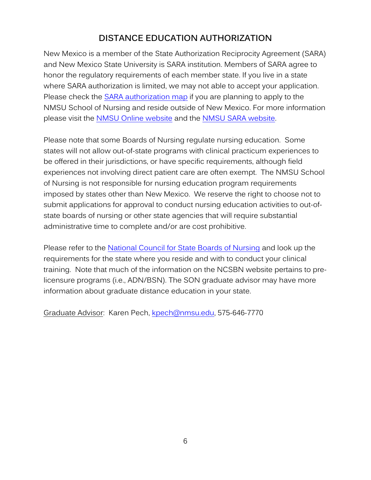## **DISTANCE EDUCATION AUTHORIZATION**

<span id="page-9-0"></span>New Mexico is a member of the State Authorization Reciprocity Agreement (SARA) and New Mexico State University is SARA institution. Members of SARA agree to honor the regulatory requirements of each member state. If you live in a state where SARA authorization is limited, we may not able to accept your application. Please check the [SARA authorization map](https://online.nmsu.edu/state_authorization/Check%20Your%20State.html) if you are planning to apply to the NMSU School of Nursing and reside outside of New Mexico. For more information please visit the [NMSU Online website](https://online.nmsu.edu/) and the [NMSU SARA website.](https://online.nmsu.edu/state_authorization/State%20Authorization.html)

Please note that some Boards of Nursing regulate nursing education. Some states will not allow out-of-state programs with clinical practicum experiences to be offered in their jurisdictions, or have specific requirements, although field experiences not involving direct patient care are often exempt. The NMSU School of Nursing is not responsible for nursing education program requirements imposed by states other than New Mexico. We reserve the right to choose not to submit applications for approval to conduct nursing education activities to out-ofstate boards of nursing or other state agencies that will require substantial administrative time to complete and/or are cost prohibitive.

Please refer to the [National Council for State Boards of Nursing](https://www.ncsbn.org/671.htm) and look up the requirements for the state where you reside and with to conduct your clinical training. Note that much of the information on the NCSBN website pertains to prelicensure programs (i.e., ADN/BSN). The SON graduate advisor may have more information about graduate distance education in your state.

Graduate Advisor: Karen Pech, [kpech@nmsu.edu,](mailto:kpech@nmsu.edu) 575-646-7770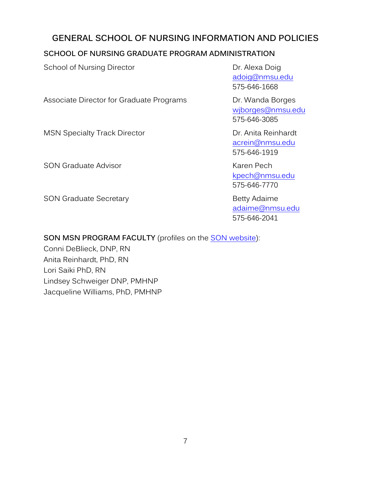## <span id="page-10-0"></span>**GENERAL SCHOOL OF NURSING INFORMATION AND POLICIES**

#### <span id="page-10-1"></span>**SCHOOL OF NURSING GRADUATE PROGRAM ADMINISTRATION**

School of Nursing Director **Dr. Alexa Doig** [adoig@nmsu.edu](mailto:adoig@nmsu.edu) 575-646-1668 Associate Director for Graduate Programs Dr. Wanda Borges [wjborges@nmsu.edu](mailto:wjborges@nmsu.edu) 575-646-3085 MSN Specialty Track Director **Dr. Anita Reinhardt** [acrein@nmsu.edu](mailto:acrein@nmsu.edu) 575-646-1919 SON Graduate Advisor **Karen Pech** [kpech@nmsu.edu](mailto:kpech@nmsu.edu) 575-646-7770 SON Graduate Secretary **Betty Adaime** Betty Adaime [adaime@nmsu.edu](mailto:adaime@nmsu.edu) 575-646-2041

#### **SON MSN PROGRAM FACULTY** (profiles on the [SON website\)](https://schoolofnursing.nmsu.edu/sonfaculty/):

Conni DeBlieck, DNP, RN Anita Reinhardt, PhD, RN Lori Saiki PhD, RN Lindsey Schweiger DNP, PMHNP Jacqueline Williams, PhD, PMHNP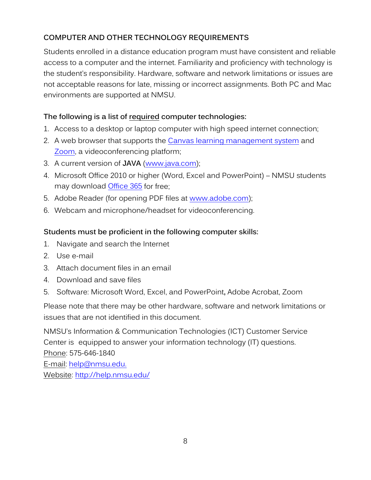### <span id="page-11-0"></span>**COMPUTER AND OTHER TECHNOLOGY REQUIREMENTS**

Students enrolled in a distance education program must have consistent and reliable access to a computer and the internet. Familiarity and proficiency with technology is the student's responsibility. Hardware, software and network limitations or issues are not acceptable reasons for late, missing or incorrect assignments. Both PC and Mac environments are supported at NMSU.

#### **The following is a list of required computer technologies:**

- 1. Access to a desktop or laptop computer with high speed internet connection;
- 2. A web browser that supports the Canvas [learning management system](https://community.canvaslms.com/docs/DOC-10720) and [Zoom,](https://zoom.us/) a videoconferencing platform;
- 3. A current version of **JAVA** [\(www.java.com\)](http://www.java.com/);
- 4. Microsoft Office 2010 or higher (Word, Excel and PowerPoint) NMSU students may download [Office 365](https://studenttech.nmsu.edu/microsoft-office-365-pro-plus/) for free;
- 5. Adobe Reader (for opening PDF files at [www.adobe.com\)](http://www.adobe.com/);
- 6. Webcam and microphone/headset for videoconferencing.

#### **Students must be proficient in the following computer skills:**

- 1. Navigate and search the Internet
- 2. Use e-mail
- 3. Attach document files in an email
- 4. Download and save files
- 5. Software: Microsoft Word, Excel, and PowerPoint**,** Adobe Acrobat, Zoom

Please note that there may be other hardware, software and network limitations or issues that are not identified in this document.

NMSU's Information & Communication Technologies (ICT) Customer Service Center is equipped to answer your information technology (IT) questions. Phone: 575-646-1840 E-mail: [help@nmsu.edu.](mailto:help@nmsu.edu.)  Website: http:/[/help.](https://help.nmsu.edu/)nmsu.edu/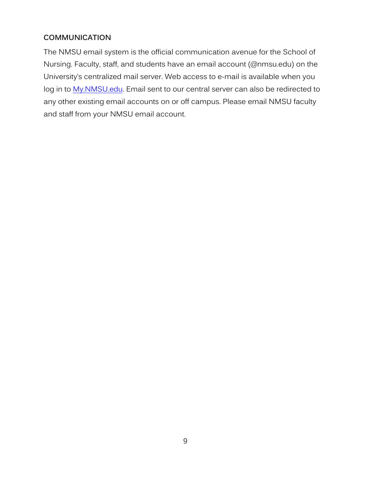#### <span id="page-12-0"></span>**COMMUNICATION**

The NMSU email system is the official communication avenue for the School of Nursing. Faculty, staff, and students have an email account (@nmsu.edu) on the University's centralized mail server. Web access to e-mail is available when you log in to [My.NMSU.edu.](https://my.nmsu.edu/web/mycampus/home) Email sent to our central server can also be redirected to any other existing email accounts on or off campus. Please email NMSU faculty and staff from your NMSU email account.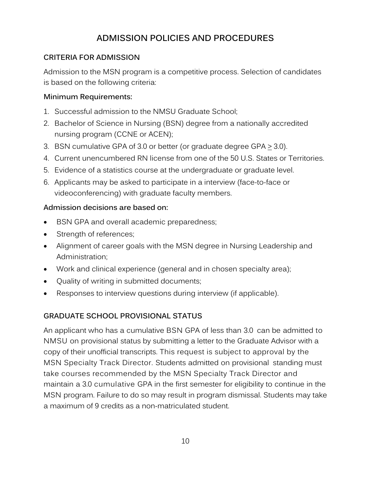## **ADMISSION POLICIES AND PROCEDURES**

#### <span id="page-13-1"></span><span id="page-13-0"></span>**CRITERIA FOR ADMISSION**

Admission to the MSN program is a competitive process. Selection of candidates is based on the following criteria:

#### **Minimum Requirements:**

- 1. Successful admission to the NMSU Graduate School;
- 2. Bachelor of Science in Nursing (BSN) degree from a nationally accredited nursing program (CCNE or ACEN);
- 3. BSN cumulative GPA of 3.0 or better (or graduate degree GPA > 3.0).
- 4. Current unencumbered RN license from one of the 50 U.S. States or Territories.
- 5. Evidence of a statistics course at the undergraduate or graduate level.
- 6. Applicants may be asked to participate in a interview (face-to-face or videoconferencing) with graduate faculty members.

#### **Admission decisions are based on:**

- BSN GPA and overall academic preparedness;
- Strength of references;
- Alignment of career goals with the MSN degree in Nursing Leadership and Administration;
- Work and clinical experience (general and in chosen specialty area);
- Quality of writing in submitted documents;
- Responses to interview questions during interview (if applicable).

#### <span id="page-13-2"></span>**GRADUATE SCHOOL PROVISIONAL STATUS**

An applicant who has a cumulative BSN GPA of less than 3.0 can be admitted to NMSU on provisional status by submitting a letter to the Graduate Advisor with a copy of their unofficial transcripts. This request is subject to approval by the MSN Specialty Track Director. Students admitted on provisional standing must take courses recommended by the MSN Specialty Track Director and maintain a 3.0 cumulative GPA in the first semester for eligibility to continue in the MSN program. Failure to do so may result in program dismissal. Students may take a maximum of 9 credits as a non-matriculated student.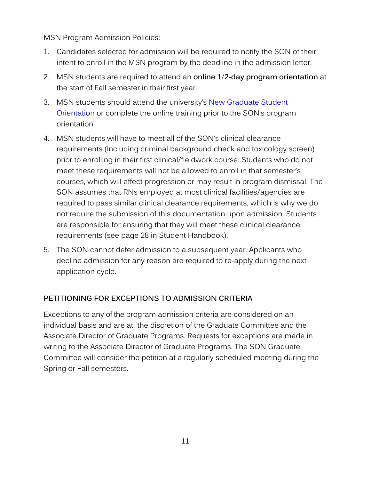#### MSN Program Admission Policies:

- 1. Candidates selected for admission will be required to notify the SON of their intent to enroll in the MSN program by the deadline in the admission letter.
- 2. MSN students are required to attend an **online 1**/**2-day program orientation** at the start of Fall semester in their first year.
- 3. MSN students should attend the university's New Graduate Student [Orientation](https://gradschool.nmsu.edu/New%20Graduate%20Student%20Orientation%20.html) or complete the online training prior to the SON's program orientation.
- 4. MSN students will have to meet all of the SON's clinical clearance requirements (including criminal background check and toxicology screen) prior to enrolling in their first clinical/fieldwork course. Students who do not meet these requirements will not be allowed to enroll in that semester's courses, which will affect progression or may result in program dismissal. The SON assumes that RNs employed at most clinical facilities/agencies are required to pass similar clinical clearance requirements, which is why we do not require the submission of this documentation upon admission. Students are responsible for ensuring that they will meet these clinical clearance requirements (see page 28 in Student Handbook).
- 5. The SON cannot defer admission to a subsequent year. Applicants who decline admission for any reason are required to re-apply during the next application cycle.

#### **PETITIONING FOR EXCEPTIONS TO ADMISSION CRITERIA**

Exceptions to any of the program admission criteria are considered on an individual basis and are at the discretion of the Graduate Committee and the Associate Director of Graduate Programs. Requests for exceptions are made in writing to the Associate Director of Graduate Programs. The SON Graduate Committee will consider the petition at a regularly scheduled meeting during the Spring or Fall semesters.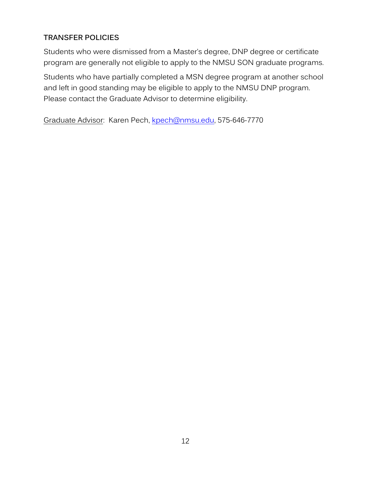#### <span id="page-15-0"></span>**TRANSFER POLICIES**

Students who were dismissed from a Master's degree, DNP degree or certificate program are generally not eligible to apply to the NMSU SON graduate programs.

Students who have partially completed a MSN degree program at another school and left in good standing may be eligible to apply to the NMSU DNP program. Please contact the Graduate Advisor to determine eligibility.

Graduate Advisor: Karen Pech, [kpech@nmsu.edu,](mailto:kpech@nmsu.edu) 575-646-7770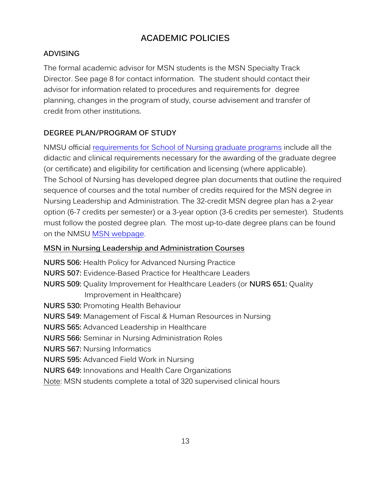## **ACADEMIC POLICIES**

#### <span id="page-16-1"></span><span id="page-16-0"></span>**ADVISING**

The formal academic advisor for MSN students is the MSN Specialty Track Director. See page 8 for contact information. The student should contact their advisor for information related to procedures and requirements for degree planning, changes in the program of study, course advisement and transfer of credit from other institutions.

#### <span id="page-16-2"></span>**DEGREE PLAN/PROGRAM OF STUDY**

NMSU official [requirements for School of Nursing graduate programs](https://schoolofnursing.nmsu.edu/nursing/son-documents/MSN-Leadership-and-Admin-Degree-Plan-Full-Time-2021-2022.pdf) include all the didactic and clinical requirements necessary for the awarding of the graduate degree (or certificate) and eligibility for certification and licensing (where applicable). The School of Nursing has developed degree plan documents that outline the required sequence of courses and the total number of credits required for the MSN degree in Nursing Leadership and Administration. The 32-credit MSN degree plan has a 2-year option (6-7 credits per semester) or a 3-year option (3-6 credits per semester). Students must follow the posted degree plan. The most up-to-date degree plans can be found on the NMSU [MSN webpage.](https://schoolofnursing.nmsu.edu/nursing/son-pages/MSN-Program.html)

#### **MSN in Nursing Leadership and Administration Courses**

**NURS 506:** Health Policy for Advanced Nursing Practice **NURS 507:** Evidence-Based Practice for Healthcare Leaders **NURS 509:** Quality Improvement for Healthcare Leaders (or **NURS 651:** Quality Improvement in Healthcare) **NURS 530:** Promoting Health Behaviour **NURS 549:** Management of Fiscal & Human Resources in Nursing **NURS 565:** Advanced Leadership in Healthcare **NURS 566:** Seminar in Nursing Administration Roles **NURS 567:** Nursing Informatics **NURS 595:** Advanced Field Work in Nursing **NURS 649:** Innovations and Health Care Organizations Note: MSN students complete a total of 320 supervised clinical hours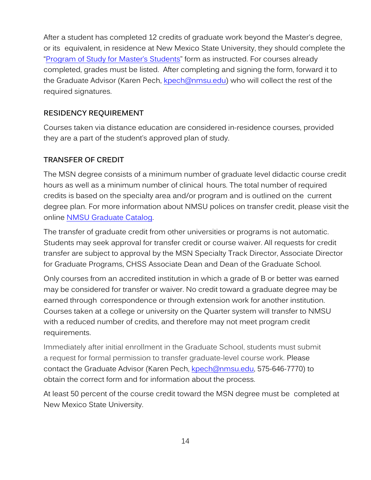After a student has completed 12 credits of graduate work beyond the Master's degree, or its equivalent, in residence at New Mexico State University, they should complete the ["Program of Study for Master's Students"](https://gradschool.nmsu.edu/Current%20Students/masters_program_of_study.pdf) form as instructed. For courses already completed, grades must be listed. After completing and signing the form, forward it to the Graduate Advisor (Karen Pech, [kpech@nmsu.edu\)](mailto:kpech@nmsu.edu) who will collect the rest of the required signatures.

#### <span id="page-17-0"></span>**RESIDENCY REQUIREMENT**

Courses taken via distance education are considered in-residence courses, provided they are a part of the student's approved plan of study.

#### <span id="page-17-1"></span>**TRANSFER OF CREDIT**

The MSN degree consists of a minimum number of graduate level didactic course credit hours as well as a minimum number of clinical hours. The total number of required credits is based on the specialty area and/or program and is outlined on the current degree plan. For more information about NMSU polices on transfer credit, please visit the online [NMSU Graduate Catalog.](https://catalogs.nmsu.edu/nmsu/graduate-school/#transfercreditstext)

The transfer of graduate credit from other universities or programs is not automatic. Students may seek approval for transfer credit or course waiver. All requests for credit transfer are subject to approval by the MSN Specialty Track Director, Associate Director for Graduate Programs, CHSS Associate Dean and Dean of the Graduate School.

Only courses from an accredited institution in which a grade of B or better was earned may be considered for transfer or waiver. No credit toward a graduate degree may be earned through correspondence or through extension work for another institution. Courses taken at a college or university on the Quarter system will transfer to NMSU with a reduced number of credits, and therefore may not meet program credit requirements.

Immediately after initial enrollment in the Graduate School, students must submit a request for formal permission to transfer graduate-level course work. Please contact the Graduate Advisor (Karen Pech, [kpech@nmsu.edu,](mailto:kpech@nmsu.edu) 575-646-7770) to obtain the correct form and for information about the process.

At least 50 percent of the course credit toward the MSN degree must be completed at New Mexico State University.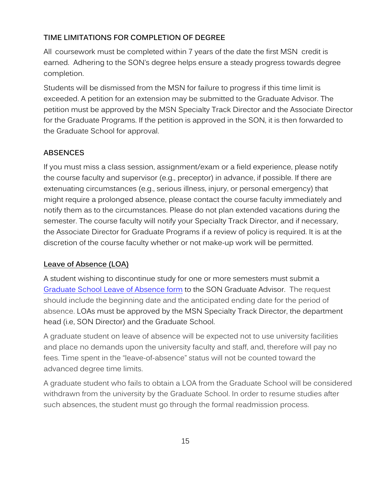#### <span id="page-18-0"></span>**TIME LIMITATIONS FOR COMPLETION OF DEGREE**

All coursework must be completed within 7 years of the date the first MSN credit is earned. Adhering to the SON's degree helps ensure a steady progress towards degree completion.

Students will be dismissed from the MSN for failure to progress if this time limit is exceeded. A petition for an extension may be submitted to the Graduate Advisor. The petition must be approved by the MSN Specialty Track Director and the Associate Director for the Graduate Programs. If the petition is approved in the SON, it is then forwarded to the Graduate School for approval.

#### <span id="page-18-1"></span>**ABSENCES**

If you must miss a class session, assignment/exam or a field experience, please notify the course faculty and supervisor (e.g., preceptor) in advance, if possible. If there are extenuating circumstances (e.g., serious illness, injury, or personal emergency) that might require a prolonged absence, please contact the course faculty immediately and notify them as to the circumstances. Please do not plan extended vacations during the semester. The course faculty will notify your Specialty Track Director, and if necessary, the Associate Director for Graduate Programs if a review of policy is required. It is at the discretion of the course faculty whether or not make-up work will be permitted.

#### **Leave of Absence (LOA)**

A student wishing to discontinue study for one or more semesters must submit a [Graduate School Leave of Absence form](https://gradschool.nmsu.edu/Current%20Students/Leave-of-Absence.pdf) to the SON Graduate Advisor. The request should include the beginning date and the anticipated ending date for the period of absence. LOAs must be approved by the MSN Specialty Track Director, the department head (i.e, SON Director) and the Graduate School.

A graduate student on leave of absence will be expected not to use university facilities and place no demands upon the university faculty and staff, and, therefore will pay no fees. Time spent in the "leave-of-absence" status will not be counted toward the advanced degree time limits.

A graduate student who fails to obtain a LOA from the Graduate School will be considered withdrawn from the university by the Graduate School. In order to resume studies after such absences, the student must go through the formal readmission process.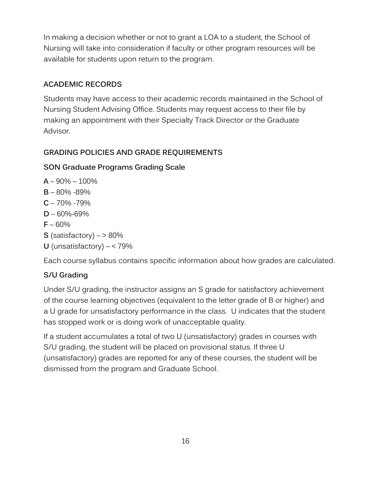In making a decision whether or not to grant a LOA to a student, the School of Nursing will take into consideration if faculty or other program resources will be available for students upon return to the program.

#### <span id="page-19-0"></span>**ACADEMIC RECORDS**

Students may have access to their academic records maintained in the School of Nursing Student Advising Office. Students may request access to their file by making an appointment with their Specialty Track Director or the Graduate Advisor.

#### <span id="page-19-1"></span>**GRADING POLICIES AND GRADE REQUIREMENTS**

#### **SON Graduate Programs Grading Scale**

- **A** 90% 100%
- **B** 80% -89%
- $C 70\% 79\%$
- **D** 60%-69%
- $F 60%$
- **S** (satisfactory)  $-$  > 80%
- **U** (unsatisfactory)  $< 79\%$

Each course syllabus contains specific information about how grades are calculated.

#### **S/U Grading**

Under S/U grading, the instructor assigns an S grade for satisfactory achievement of the course learning objectives (equivalent to the letter grade of B or higher) and a U grade for unsatisfactory performance in the class. U indicates that the student has stopped work or is doing work of unacceptable quality.

If a student accumulates a total of two U (unsatisfactory) grades in courses with S/U grading, the student will be placed on provisional status. If three U (unsatisfactory) grades are reported for any of these courses, the student will be dismissed from the program and Graduate School.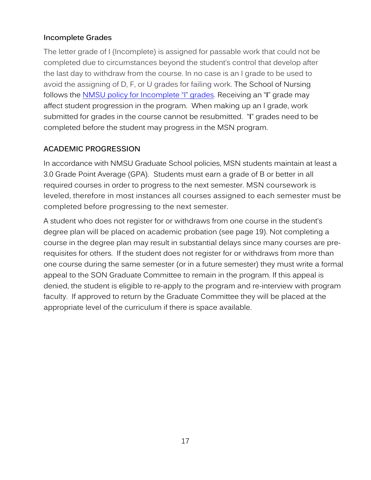#### **Incomplete Grades**

The letter grade of I (Incomplete) is assigned for passable work that could not be completed due to circumstances beyond the student's control that develop after the last day to withdraw from the course. In no case is an I grade to be used to avoid the assigning of D, F, or U grades for failing work. The School of Nursing follows the [NMSU policy for Incomplete "I" grades.](https://arp.nmsu.edu/4-55/) Receiving an "**I**" grade may affect student progression in the program. When making up an I grade, work submitted for grades in the course cannot be resubmitted. "**I**" grades need to be completed before the student may progress in the MSN program.

#### <span id="page-20-0"></span>**ACADEMIC PROGRESSION**

In accordance with NMSU Graduate School policies, MSN students maintain at least a 3.0 Grade Point Average (GPA). Students must earn a grade of B or better in all required courses in order to progress to the next semester. MSN coursework is leveled, therefore in most instances all courses assigned to each semester must be completed before progressing to the next semester.

A student who does not register for or withdraws from one course in the student's degree plan will be placed on academic probation (see page 19). Not completing a course in the degree plan may result in substantial delays since many courses are prerequisites for others. If the student does not register for or withdraws from more than one course during the same semester (or in a future semester) they must write a formal appeal to the SON Graduate Committee to remain in the program. If this appeal is denied, the student is eligible to re-apply to the program and re-interview with program faculty. If approved to return by the Graduate Committee they will be placed at the appropriate level of the curriculum if there is space available.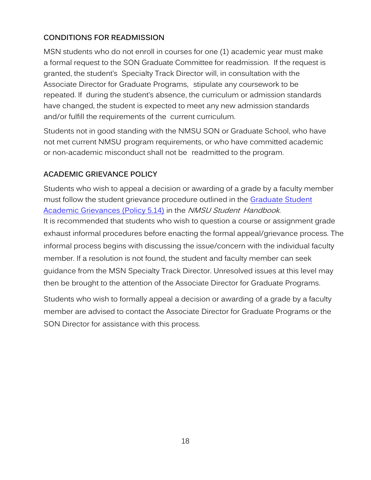### <span id="page-21-0"></span>**CONDITIONS FOR READMISSION**

MSN students who do not enroll in courses for one (1) academic year must make a formal request to the SON Graduate Committee for readmission. If the request is granted, the student's Specialty Track Director will, in consultation with the Associate Director for Graduate Programs, stipulate any coursework to be repeated. If during the student's absence, the curriculum or admission standards have changed, the student is expected to meet any new admission standards and/or fulfill the requirements of the current curriculum.

Students not in good standing with the NMSU SON or Graduate School, who have not met current NMSU program requirements, or who have committed academic or non-academic misconduct shall not be readmitted to the program.

#### <span id="page-21-1"></span>**ACADEMIC GRIEVANCE POLICY**

Students who wish to appeal a decision or awarding of a grade by a faculty member must follow the student grievance procedure outlined in the [Graduate Student](https://arp.nmsu.edu/5-14/)  [Academic Grievances \(Policy 5.14\)](https://arp.nmsu.edu/5-14/) in the NMSU Student Handbook. It is recommended that students who wish to question a course or assignment grade exhaust informal procedures before enacting the formal appeal/grievance process. The informal process begins with discussing the issue/concern with the individual faculty member. If a resolution is not found, the student and faculty member can seek guidance from the MSN Specialty Track Director. Unresolved issues at this level may then be brought to the attention of the Associate Director for Graduate Programs.

Students who wish to formally appeal a decision or awarding of a grade by a faculty member are advised to contact the Associate Director for Graduate Programs or the SON Director for assistance with this process.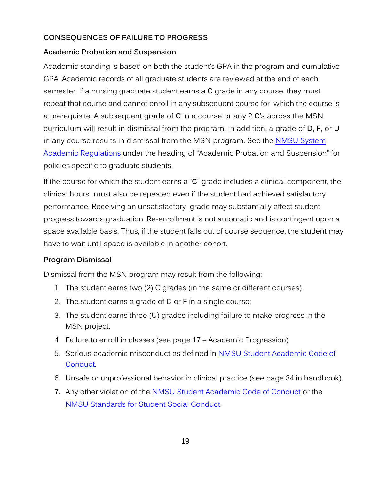#### <span id="page-22-0"></span>**CONSEQUENCES OF FAILURE TO PROGRESS**

#### **Academic Probation and Suspension**

Academic standing is based on both the student's GPA in the program and cumulative GPA. Academic records of all graduate students are reviewed at the end of each semester. If a nursing graduate student earns a **C** grade in any course, they must repeat that course and cannot enroll in any subsequent course for which the course is a prerequisite. A subsequent grade of **C** in a course or any 2 **C**'s across the MSN curriculum will result in dismissal from the program. In addition, a grade of **D**, **F**, or **U** in any course results in dismissal from the MSN program. See the [NMSU System](https://catalogs.nmsu.edu/dona-ana/general-information/academic-regulations/#academicstandingprobationtext)  [Academic Regulations](https://catalogs.nmsu.edu/dona-ana/general-information/academic-regulations/#academicstandingprobationtext) under the heading of "Academic Probation and Suspension" for policies specific to graduate students.

If the course for which the student earns a "**C**" grade includes a clinical component, the clinical hours must also be repeated even if the student had achieved satisfactory performance. Receiving an unsatisfactory grade may substantially affect student progress towards graduation. Re-enrollment is not automatic and is contingent upon a space available basis. Thus, if the student falls out of course sequence, the student may have to wait until space is available in another cohort.

#### **Program Dismissal**

Dismissal from the MSN program may result from the following:

- 1. The student earns two (2) C grades (in the same or different courses).
- 2. The student earns a grade of D or F in a single course;
- 3. The student earns three (U) grades including failure to make progress in the MSN project.
- 4. Failure to enroll in classes (see page 17 Academic Progression)
- 5. Serious academic misconduct as defined in NMSU Student Academic Code of [Conduct.](https://catalogs.nmsu.edu/dona-ana/general-information/academic-regulations/#academicmisconductgrievancestext)
- 6. Unsafe or unprofessional behavior in clinical practice (see page 34 in handbook).
- **7.** Any other violation of the [NMSU Student Academic Code of Conduct](https://arp.nmsu.edu/5-10/) or the [NMSU Standards for Student Social Conduct.](https://arp.nmsu.edu/5-20/)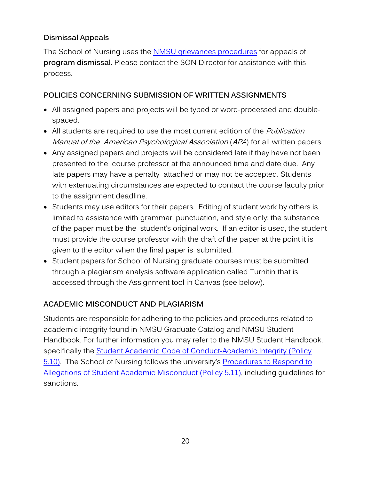#### **Dismissal Appeals**

The School of Nursing uses the [NMSU grievances procedures](https://catalogs.nmsu.edu/dona-ana/student-handbook/grievance-procedures/) for appeals of **program dismissal.** Please contact the SON Director for assistance with this process.

#### <span id="page-23-0"></span>**POLICIES CONCERNING SUBMISSION OF WRITTEN ASSIGNMENTS**

- All assigned papers and projects will be typed or word-processed and doublespaced.
- All students are required to use the most current edition of the *Publication* Manual of the American Psychological Association (APA) for all written papers.
- Any assigned papers and projects will be considered late if they have not been presented to the course professor at the announced time and date due. Any late papers may have a penalty attached or may not be accepted. Students with extenuating circumstances are expected to contact the course faculty prior to the assignment deadline.
- Students may use editors for their papers. Editing of student work by others is limited to assistance with grammar, punctuation, and style only; the substance of the paper must be the student's original work. If an editor is used, the student must provide the course professor with the draft of the paper at the point it is given to the editor when the final paper is submitted.
- Student papers for School of Nursing graduate courses must be submitted through a plagiarism analysis software application called Turnitin that is accessed through the Assignment tool in Canvas (see below).

#### <span id="page-23-1"></span>**ACADEMIC MISCONDUCT AND PLAGIARISM**

Students are responsible for adhering to the policies and procedures related to academic integrity found in NMSU Graduate Catalog and NMSU Student Handbook. For further information you may refer to the NMSU Student Handbook, specifically the [Student Academic Code of Conduct-Academic Integrity \(Policy](https://arp.nmsu.edu/5-10/)  [5.10\).](https://arp.nmsu.edu/5-10/) The School of Nursing follows the university's Procedures to Respond to Allegations of Student Academic Misconduct (Policy 5.11), including guidelines for sanctions.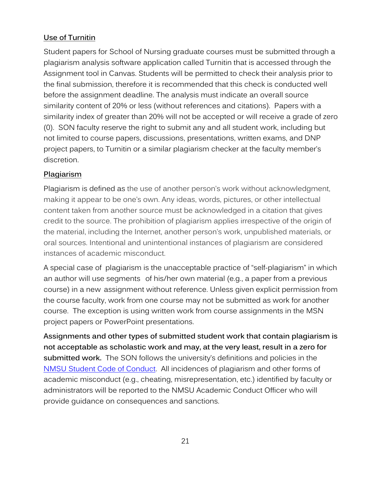#### **Use of Turnitin**

Student papers for School of Nursing graduate courses must be submitted through a plagiarism analysis software application called Turnitin that is accessed through the Assignment tool in Canvas. Students will be permitted to check their analysis prior to the final submission, therefore it is recommended that this check is conducted well before the assignment deadline. The analysis must indicate an overall source similarity content of 20% or less (without references and citations). Papers with a similarity index of greater than 20% will not be accepted or will receive a grade of zero (0). SON faculty reserve the right to submit any and all student work, including but not limited to course papers, discussions, presentations, written exams, and DNP project papers, to Turnitin or a similar plagiarism checker at the faculty member's discretion.

#### **Plagiarism**

Plagiarism is defined as the use of another person's work without acknowledgment, making it appear to be one's own. Any ideas, words, pictures, or other intellectual content taken from another source must be acknowledged in a citation that gives credit to the source. The prohibition of plagiarism applies irrespective of the origin of the material, including the Internet, another person's work, unpublished materials, or oral sources. Intentional and unintentional instances of plagiarism are considered instances of academic misconduct.

A special case of plagiarism is the unacceptable practice of "self-plagiarism" in which an author will use segments of his/her own material (e.g., a paper from a previous course) in a new assignment without reference. Unless given explicit permission from the course faculty, work from one course may not be submitted as work for another course. The exception is using written work from course assignments in the MSN project papers or PowerPoint presentations.

**Assignments and other types of submitted student work that contain plagiarism is not acceptable as scholastic work and may, at the very least, result in a zero for submitted work.** The SON follows the university's definitions and policies in the [NMSU Student Code of Conduct.](https://arp.nmsu.edu/5-10/) All incidences of plagiarism and other forms of academic misconduct (e.g., cheating, misrepresentation, etc.) identified by faculty or administrators will be reported to the NMSU Academic Conduct Officer who will provide guidance on consequences and sanctions.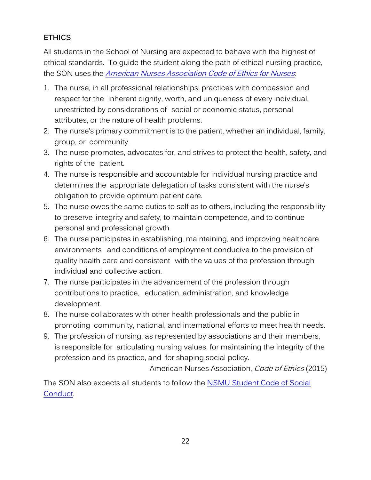#### **ETHICS**

All students in the School of Nursing are expected to behave with the highest of ethical standards. To guide the student along the path of ethical nursing practice, the SON uses the American Nurses Association Code [of Ethics for](https://www.nursingworld.org/practice-policy/nursing-excellence/ethics/code-of-ethics-for-nurses/) Nurses.

- 1. The nurse, in all professional relationships, practices with compassion and respect for the inherent dignity, worth, and uniqueness of every individual, unrestricted by considerations of social or economic status, personal attributes, or the nature of health problems.
- 2. The nurse's primary commitment is to the patient, whether an individual, family, group, or community.
- 3. The nurse promotes, advocates for, and strives to protect the health, safety, and rights of the patient.
- 4. The nurse is responsible and accountable for individual nursing practice and determines the appropriate delegation of tasks consistent with the nurse's obligation to provide optimum patient care.
- 5. The nurse owes the same duties to self as to others, including the responsibility to preserve integrity and safety, to maintain competence, and to continue personal and professional growth.
- 6. The nurse participates in establishing, maintaining, and improving healthcare environments and conditions of employment conducive to the provision of quality health care and consistent with the values of the profession through individual and collective action.
- 7. The nurse participates in the advancement of the profession through contributions to practice, education, administration, and knowledge development.
- 8. The nurse collaborates with other health professionals and the public in promoting community, national, and international efforts to meet health needs.
- 9. The profession of nursing, as represented by associations and their members, is responsible for articulating nursing values, for maintaining the integrity of the profession and its practice, and for shaping social policy.

American Nurses Association, Code of Ethics (2015)

The SON also expects all students to follow the [NSMU Student Code of Social](https://arp.nmsu.edu/5-20/)  [Conduct.](https://arp.nmsu.edu/5-20/)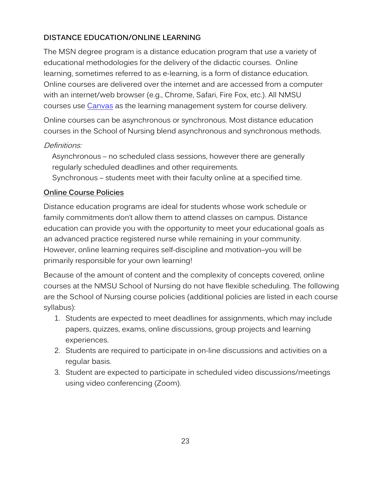#### <span id="page-26-0"></span>**DISTANCE EDUCATION/ONLINE LEARNING**

The MSN degree program is a distance education program that use a variety of educational methodologies for the delivery of the didactic courses. Online learning, sometimes referred to as e-learning, is a form of distance education. Online courses are delivered over the internet and are accessed from a computer with an internet/web browser (e.g., Chrome, Safari, Fire Fox, etc.). All NMSU courses use [Canvas](https://learn.nmsu.edu/) as the learning management system for course delivery.

Online courses can be asynchronous or synchronous. Most distance education courses in the School of Nursing blend asynchronous and synchronous methods.

#### Definitions:

Asynchronous – no scheduled class sessions, however there are generally regularly scheduled deadlines and other requirements.

Synchronous – students meet with their faculty online at a specified time.

#### **Online Course Policies**

Distance education programs are ideal for students whose work schedule or family commitments don't allow them to attend classes on campus. Distance education can provide you with the opportunity to meet your educational goals as an advanced practice registered nurse while remaining in your community. However, online learning requires self-discipline and motivation–you will be primarily responsible for your own learning!

Because of the amount of content and the complexity of concepts covered, online courses at the NMSU School of Nursing do not have flexible scheduling. The following are the School of Nursing course policies (additional policies are listed in each course syllabus):

- 1. Students are expected to meet deadlines for assignments, which may include papers, quizzes, exams, online discussions, group projects and learning experiences.
- 2. Students are required to participate in on-line discussions and activities on a regular basis.
- 3. Student are expected to participate in scheduled video discussions/meetings using video conferencing (Zoom).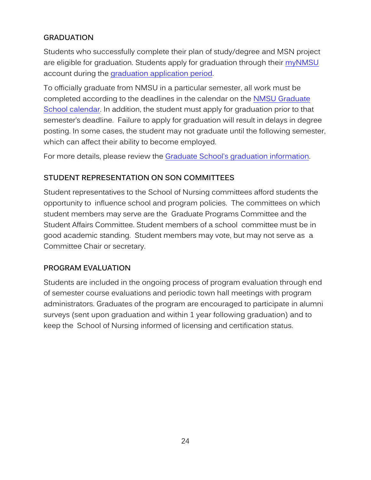#### <span id="page-27-0"></span>**GRADUATION**

Students who successfully complete their plan of study/degree and MSN project are eligible for graduation. Students apply for graduation through their [myNMSU](https://my.nmsu.edu/web/mycampus/home) account during the [graduation application period.](https://commencement.nmsu.edu/apply-to-graduate/)

To officially graduate from NMSU in a particular semester, all work must be completed according to the deadlines in the calendar on the NMSU Graduate School calendar. In addition, the student must apply for graduation prior to that semester's deadline. Failure to apply for graduation will result in delays in degree posting. In some cases, the student may not graduate until the following semester, which can affect their ability to become employed.

For more details, please review the [Graduate School's graduation information.](https://commencement.nmsu.edu/)

#### <span id="page-27-1"></span>**STUDENT REPRESENTATION ON SON COMMITTEES**

Student representatives to the School of Nursing committees afford students the opportunity to influence school and program policies. The committees on which student members may serve are the Graduate Programs Committee and the Student Affairs Committee. Student members of a school committee must be in good academic standing. Student members may vote, but may not serve as a Committee Chair or secretary.

#### <span id="page-27-2"></span>**PROGRAM EVALUATION**

Students are included in the ongoing process of program evaluation through end of semester course evaluations and periodic town hall meetings with program administrators. Graduates of the program are encouraged to participate in alumni surveys (sent upon graduation and within 1 year following graduation) and to keep the School of Nursing informed of licensing and certification status.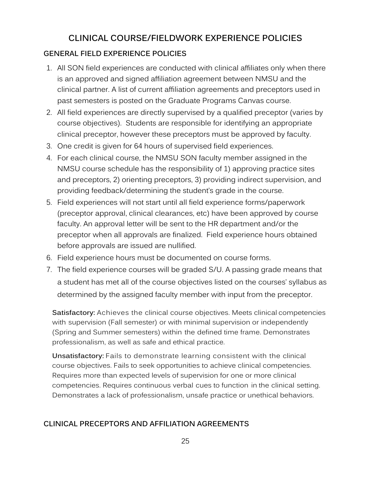## **CLINICAL COURSE/FIELDWORK EXPERIENCE POLICIES**

#### <span id="page-28-1"></span><span id="page-28-0"></span>**GENERAL FIELD EXPERIENCE POLICIES**

- 1. All SON field experiences are conducted with clinical affiliates only when there is an approved and signed affiliation agreement between NMSU and the clinical partner. A list of current affiliation agreements and preceptors used in past semesters is posted on the Graduate Programs Canvas course.
- 2. All field experiences are directly supervised by a qualified preceptor (varies by course objectives). Students are responsible for identifying an appropriate clinical preceptor, however these preceptors must be approved by faculty.
- 3. One credit is given for 64 hours of supervised field experiences.
- 4. For each clinical course, the NMSU SON faculty member assigned in the NMSU course schedule has the responsibility of 1) approving practice sites and preceptors, 2) orienting preceptors, 3) providing indirect supervision, and providing feedback/determining the student's grade in the course.
- 5. Field experiences will not start until all field experience forms/paperwork (preceptor approval, clinical clearances, etc) have been approved by course faculty. An approval letter will be sent to the HR department and/or the preceptor when all approvals are finalized. Field experience hours obtained before approvals are issued are nullified.
- 6. Field experience hours must be documented on course forms.
- 7. The field experience courses will be graded S/U. A passing grade means that a student has met all of the course objectives listed on the courses' syllabus as determined by the assigned faculty member with input from the preceptor.

Satisfactory: Achieves the clinical course objectives. Meets clinical competencies with supervision (Fall semester) or with minimal supervision or independently (Spring and Summer semesters) within the defined time frame. Demonstrates professionalism, as well as safe and ethical practice.

**Unsatisfactory:** Fails to demonstrate learning consistent with the clinical course objectives. Fails to seek opportunities to achieve clinical competencies. Requires more than expected levels of supervision for one or more clinical competencies. Requires continuous verbal cues to function in the clinical setting. Demonstrates a lack of professionalism, unsafe practice or unethical behaviors.

#### <span id="page-28-2"></span>**CLINICAL PRECEPTORS AND AFFILIATION AGREEMENTS**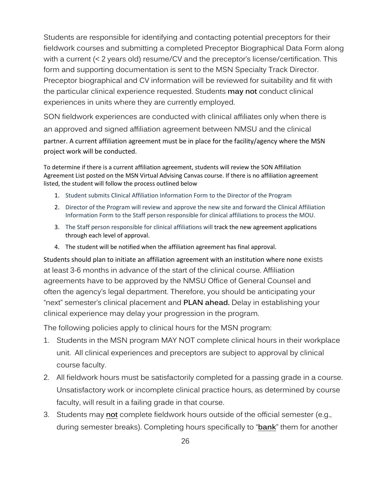Students are responsible for identifying and contacting potential preceptors for their fieldwork courses and submitting a completed Preceptor Biographical Data Form along with a current (< 2 years old) resume/CV and the preceptor's license/certification. This form and supporting documentation is sent to the MSN Specialty Track Director. Preceptor biographical and CV information will be reviewed for suitability and fit with the particular clinical experience requested. Students **may not** conduct clinical experiences in units where they are currently employed.

SON fieldwork experiences are conducted with clinical affiliates only when there is an approved and signed affiliation agreement between NMSU and the clinical partner. A current affiliation agreement must be in place for the facility/agency where the MSN project work will be conducted.

To determine if there is a current affiliation agreement, students will review the SON Affiliation Agreement List posted on the MSN Virtual Advising Canvas course. If there is no affiliation agreement listed, the student will follow the process outlined below

- 1. Student submits Clinical Affiliation Information Form to the Director of the Program
- 2. Director of the Program will review and approve the new site and forward the Clinical Affiliation Information Form to the Staff person responsible for clinical affiliations to process the MOU.
- 3. The Staff person responsible for clinical affiliations will track the new agreement applications through each level of approval.
- 4. The student will be notified when the affiliation agreement has final approval.

Students should plan to initiate an affiliation agreement with an institution where none exists at least 3-6 months in advance of the start of the clinical course. Affiliation agreements have to be approved by the NMSU Office of General Counsel and often the agency's legal department. Therefore, you should be anticipating your "next" semester's clinical placement and **PLAN ahead.** Delay in establishing your clinical experience may delay your progression in the program.

The following policies apply to clinical hours for the MSN program:

- 1. Students in the MSN program MAY NOT complete clinical hours in their workplace unit. All clinical experiences and preceptors are subject to approval by clinical course faculty.
- 2. All fieldwork hours must be satisfactorily completed for a passing grade in a course. Unsatisfactory work or incomplete clinical practice hours, as determined by course faculty, will result in a failing grade in that course.
- 3. Students may **not** complete fieldwork hours outside of the official semester (e.g., during semester breaks). Completing hours specifically to "**bank**" them for another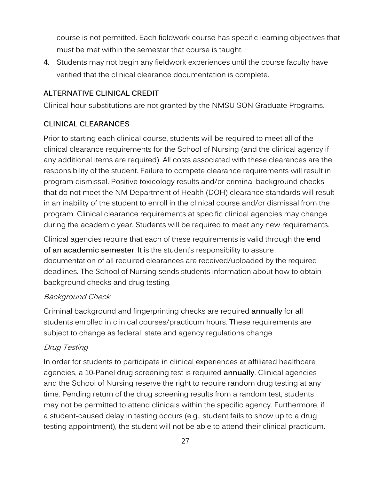<span id="page-30-0"></span>course is not permitted. Each fieldwork course has specific learning objectives that must be met within the semester that course is taught.

**4.** Students may not begin any fieldwork experiences until the course faculty have verified that the clinical clearance documentation is complete.

#### **ALTERNATIVE CLINICAL CREDIT**

Clinical hour substitutions are not granted by the NMSU SON Graduate Programs.

#### <span id="page-30-1"></span>**CLINICAL CLEARANCES**

Prior to starting each clinical course, students will be required to meet all of the clinical clearance requirements for the School of Nursing (and the clinical agency if any additional items are required). All costs associated with these clearances are the responsibility of the student. Failure to compete clearance requirements will result in program dismissal. Positive toxicology results and/or criminal background checks that do not meet the NM Department of Health (DOH) clearance standards will result in an inability of the student to enroll in the clinical course and/or dismissal from the program. Clinical clearance requirements at specific clinical agencies may change during the academic year. Students will be required to meet any new requirements.

Clinical agencies require that each of these requirements is valid through the **end of an academic semester**. It is the student's responsibility to assure documentation of all required clearances are received/uploaded by the required deadlines. The School of Nursing sends students information about how to obtain background checks and drug testing.

#### Background Check

Criminal background and fingerprinting checks are required **annually** for all students enrolled in clinical courses/practicum hours. These requirements are subject to change as federal, state and agency regulations change.

#### Drug Testing

In order for students to participate in clinical experiences at affiliated healthcare agencies, a 10-Panel drug screening test is required **annually**. Clinical agencies and the School of Nursing reserve the right to require random drug testing at any time. Pending return of the drug screening results from a random test, students may not be permitted to attend clinicals within the specific agency. Furthermore, if a student-caused delay in testing occurs (e.g., student fails to show up to a drug testing appointment), the student will not be able to attend their clinical practicum.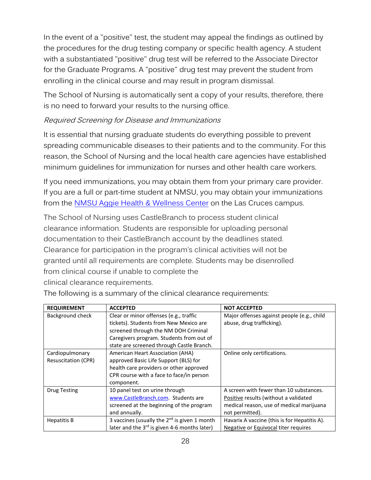In the event of a "positive" test, the student may appeal the findings as outlined by the procedures for the drug testing company or specific health agency. A student with a substantiated "positive" drug test will be referred to the Associate Director for the Graduate Programs. A "positive" drug test may prevent the student from enrolling in the clinical course and may result in program dismissal.

The School of Nursing is automatically sent a copy of your results, therefore, there is no need to forward your results to the nursing office.

#### Required Screening for Disease and Immunizations

It is essential that nursing graduate students do everything possible to prevent spreading communicable diseases to their patients and to the community. For this reason, the School of Nursing and the local health care agencies have established minimum guidelines for immunization for nurses and other health care workers.

If you need immunizations, you may obtain them from your primary care provider. If you are a full or part-time student at NMSU, you may obtain your immunizations from the [NMSU Aggie Health & Wellness Center](https://wellness.nmsu.edu/) on the Las Cruces campus.

The School of Nursing uses CastleBranch to process student clinical clearance information. Students are responsible for uploading personal documentation to their CastleBranch account by the deadlines stated. Clearance for participation in the program's clinical activities will not be granted until all requirements are complete. Students may be disenrolled from clinical course if unable to complete the

clinical clearance requirements.

| <b>REQUIREMENT</b>                            | <b>ACCEPTED</b>                                                                                                                                                                                                   | <b>NOT ACCEPTED</b>                                                                                                                             |
|-----------------------------------------------|-------------------------------------------------------------------------------------------------------------------------------------------------------------------------------------------------------------------|-------------------------------------------------------------------------------------------------------------------------------------------------|
| Background check                              | Clear or minor offenses (e.g., traffic<br>tickets). Students from New Mexico are<br>screened through the NM DOH Criminal<br>Caregivers program. Students from out of<br>state are screened through Castle Branch. | Major offenses against people (e.g., child<br>abuse, drug trafficking).                                                                         |
| Cardiopulmonary<br><b>Resuscitation (CPR)</b> | American Heart Association (AHA)<br>approved Basic Life Support (BLS) for<br>health care providers or other approved<br>CPR course with a face to face/in person<br>component.                                    | Online only certifications.                                                                                                                     |
| <b>Drug Testing</b>                           | 10 panel test on urine through<br>www.CastleBranch.com. Students are<br>screened at the beginning of the program<br>and annually.                                                                                 | A screen with fewer than 10 substances.<br>Positive results (without a validated<br>medical reason, use of medical marijuana<br>not permitted). |
| <b>Hepatitis B</b>                            | 3 vaccines (usually the $2^{nd}$ is given 1 month<br>later and the 3 <sup>rd</sup> is given 4-6 months later)                                                                                                     | Havarix A vaccine (this is for Hepatitis A).<br>Negative or Equivocal titer requires                                                            |

The following is a summary of the clinical clearance requirements: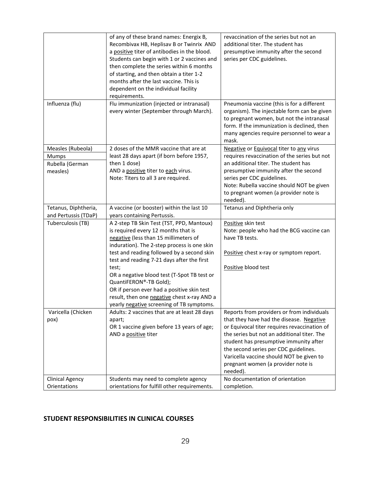| Influenza (flu)<br>Flu immunization (injected or intranasal)<br>Pneumonia vaccine (this is for a different<br>every winter (September through March).<br>organism). The injectable form can be given<br>to pregnant women, but not the intranasal                                                                                                                                                                                                                                                                                                                                                                                                                           |  |
|-----------------------------------------------------------------------------------------------------------------------------------------------------------------------------------------------------------------------------------------------------------------------------------------------------------------------------------------------------------------------------------------------------------------------------------------------------------------------------------------------------------------------------------------------------------------------------------------------------------------------------------------------------------------------------|--|
| form. If the immunization is declined, then<br>many agencies require personnel to wear a<br>mask.                                                                                                                                                                                                                                                                                                                                                                                                                                                                                                                                                                           |  |
| 2 doses of the MMR vaccine that are at<br>Measles (Rubeola)<br>Negative or Equivocal titer to any virus<br>requires revaccination of the series but not<br>least 28 days apart (if born before 1957,<br>Mumps<br>then 1 dose)<br>an additional titer. The student has<br>Rubella (German<br>AND a positive titer to each virus.<br>presumptive immunity after the second<br>measles)<br>Note: Titers to all 3 are required.<br>series per CDC guidelines.<br>Note: Rubella vaccine should NOT be given<br>to pregnant women (a provider note is<br>needed).                                                                                                                 |  |
| Tetanus and Diphtheria only<br>Tetanus, Diphtheria,<br>A vaccine (or booster) within the last 10<br>and Pertussis (TDaP)<br>years containing Pertussis.                                                                                                                                                                                                                                                                                                                                                                                                                                                                                                                     |  |
| Tuberculosis (TB)<br>A 2-step TB Skin Test (TST, PPD, Mantoux)<br>Positive skin test<br>is required every 12 months that is<br>Note: people who had the BCG vaccine can<br>have TB tests.<br>negative (less than 15 millimeters of<br>induration). The 2-step process is one skin<br>test and reading followed by a second skin<br>Positive chest x-ray or symptom report.<br>test and reading 7-21 days after the first<br>Positive blood test<br>test;<br>OR a negative blood test (T-Spot TB test or<br>QuantiFERON®-TB Gold);<br>OR if person ever had a positive skin test<br>result, then one negative chest x-ray AND a<br>yearly negative screening of TB symptoms. |  |
| Varicella (Chicken<br>Adults: 2 vaccines that are at least 28 days<br>Reports from providers or from individuals<br>that they have had the disease. Negative<br>pox)<br>apart;<br>OR 1 vaccine given before 13 years of age;<br>or Equivocal titer requires revaccination of<br>the series but not an additional titer. The<br>AND a positive titer<br>student has presumptive immunity after<br>the second series per CDC guidelines.<br>Varicella vaccine should NOT be given to<br>pregnant women (a provider note is<br>needed).                                                                                                                                        |  |
| No documentation of orientation<br><b>Clinical Agency</b><br>Students may need to complete agency                                                                                                                                                                                                                                                                                                                                                                                                                                                                                                                                                                           |  |

#### <span id="page-32-0"></span>**STUDENT RESPONSIBILITIES IN CLINICAL COURSES**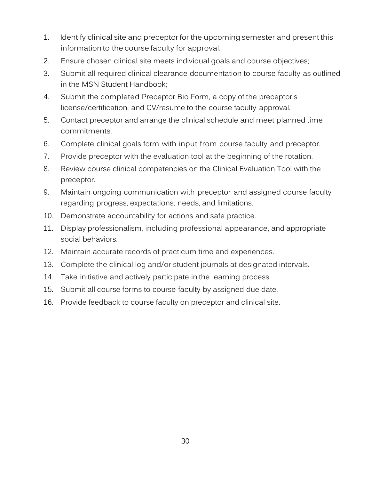- 1. Identify clinical site and preceptor for the upcoming semester and present this information to the course faculty for approval.
- 2. Ensure chosen clinical site meets individual goals and course objectives;
- 3. Submit all required clinical clearance documentation to course faculty as outlined in the MSN Student Handbook;
- 4. Submit the completed Preceptor Bio Form, a copy of the preceptor's license/certification, and CV/resume to the course faculty approval.
- 5. Contact preceptor and arrange the clinical schedule and meet planned time commitments.
- 6. Complete clinical goals form with input from course faculty and preceptor.
- 7. Provide preceptor with the evaluation tool at the beginning of the rotation.
- 8. Review course clinical competencies on the Clinical Evaluation Tool with the preceptor.
- 9. Maintain ongoing communication with preceptor and assigned course faculty regarding progress, expectations, needs, and limitations.
- 10. Demonstrate accountability for actions and safe practice.
- 11. Display professionalism, including professional appearance, and appropriate social behaviors.
- 12. Maintain accurate records of practicum time and experiences.
- 13. Complete the clinical log and/or student journals at designated intervals.
- 14. Take initiative and actively participate in the learning process.
- 15. Submit all course forms to course faculty by assigned due date.
- 16. Provide feedback to course faculty on preceptor and clinical site.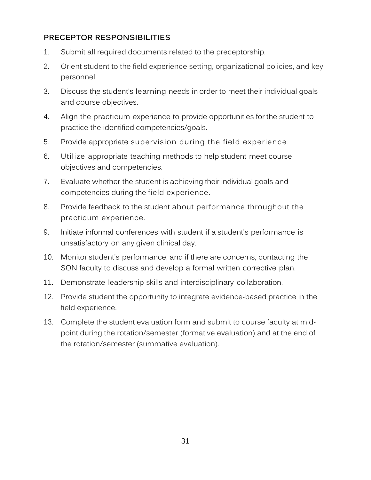#### <span id="page-34-0"></span>**PRECEPTOR RESPONSIBILITIES**

- 1. Submit all required documents related to the preceptorship.
- 2. Orient student to the field experience setting, organizational policies, and key personnel.
- , 3. Discuss the student's learning needs in order to meet their individual goals and course objectives.
- 4. Align the practicum experience to provide opportunities for the student to practice the identified competencies/goals.
- 5. Provide appropriate supervision during the field experience.
- 6. Utilize appropriate teaching methods to help student meet course objectives and competencies.
- 7. Evaluate whether the student is achieving their individual goals and competencies during the field experience.
- 8. Provide feedback to the student about performance throughout the practicum experience.
- 9. Initiate informal conferences with student if a student's performance is unsatisfactory on any given clinical day.
- 10. Monitor student's performance, and if there are concerns, contacting the SON faculty to discuss and develop a formal written corrective plan.
- 11. Demonstrate leadership skills and interdisciplinary collaboration.
- 12. Provide student the opportunity to integrate evidence‐based practice in the field experience.
- 13. Complete the student evaluation form and submit to course faculty at mid‐ point during the rotation/semester (formative evaluation) and at the end of the rotation/semester (summative evaluation).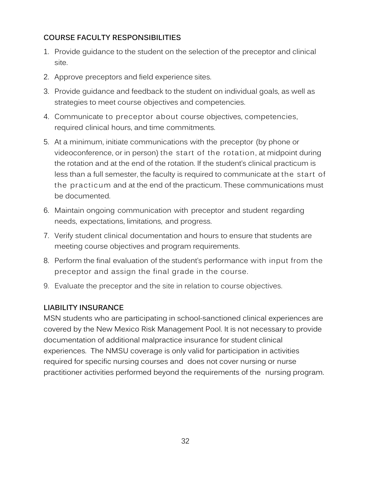#### <span id="page-35-0"></span>**COURSE FACULTY RESPONSIBILITIES**

- 1. Provide guidance to the student on the selection of the preceptor and clinical site.
- 2. Approve preceptors and field experience sites.
- 3. Provide guidance and feedback to the student on individual goals, as well as strategies to meet course objectives and competencies.
- 4. Communicate to preceptor about course objectives, competencies, required clinical hours, and time commitments.
- 5. At a minimum, initiate communications with the preceptor (by phone or videoconference, or in person) the start of the rotation, at midpoint during the rotation and at the end of the rotation. If the student's clinical practicum is less than a full semester, the faculty is required to communicate at the start of the practicum and at the end of the practicum. These communications must be documented.
- 6. Maintain ongoing communication with preceptor and student regarding needs, expectations, limitations, and progress.
- 7. Verify student clinical documentation and hours to ensure that students are meeting course objectives and program requirements.
- 8. Perform the final evaluation of the student's performance with input from the preceptor and assign the final grade in the course.
- 9. Evaluate the preceptor and the site in relation to course objectives.

#### <span id="page-35-1"></span>**LIABILITY INSURANCE**

MSN students who are participating in school-sanctioned clinical experiences are covered by the New Mexico Risk Management Pool. It is not necessary to provide documentation of additional malpractice insurance for student clinical experiences. The NMSU coverage is only valid for participation in activities required for specific nursing courses and does not cover nursing or nurse practitioner activities performed beyond the requirements of the nursing program.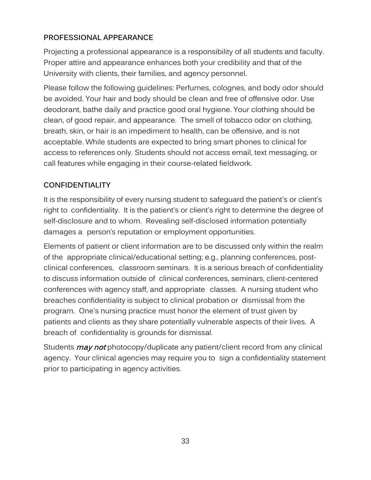#### <span id="page-36-0"></span>**PROFESSIONAL APPEARANCE**

Projecting a professional appearance is a responsibility of all students and faculty. Proper attire and appearance enhances both your credibility and that of the University with clients, their families, and agency personnel.

Please follow the following guidelines: Perfumes, colognes, and body odor should be avoided. Your hair and body should be clean and free of offensive odor. Use deodorant, bathe daily and practice good oral hygiene. Your clothing should be clean, of good repair, and appearance. The smell of tobacco odor on clothing, breath, skin, or hair is an impediment to health, can be offensive, and is not acceptable. While students are expected to bring smart phones to clinical for access to references only. Students should not access email, text messaging, or call features while engaging in their course-related fieldwork.

#### <span id="page-36-1"></span>**CONFIDENTIALITY**

It is the responsibility of every nursing student to safeguard the patient's or client's right to confidentiality. It is the patient's or client's right to determine the degree of self-disclosure and to whom. Revealing self-disclosed information potentially damages a person's reputation or employment opportunities.

Elements of patient or client information are to be discussed only within the realm of the appropriate clinical/educational setting; e.g., planning conferences, postclinical conferences, classroom seminars. It is a serious breach of confidentiality to discuss information outside of clinical conferences, seminars, client-centered conferences with agency staff, and appropriate classes. A nursing student who breaches confidentiality is subject to clinical probation or dismissal from the program. One's nursing practice must honor the element of trust given by patients and clients as they share potentially vulnerable aspects of their lives. A breach of confidentiality is grounds for dismissal.

Students *may not* photocopy/duplicate any patient/client record from any clinical agency. Your clinical agencies may require you to sign a confidentiality statement prior to participating in agency activities.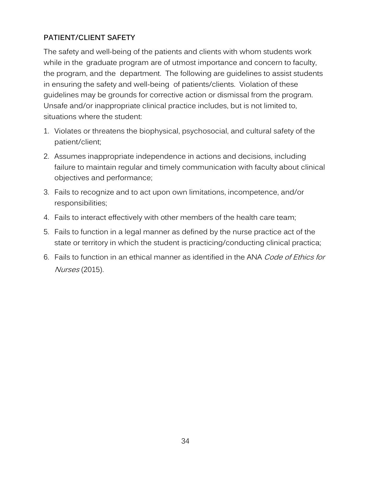#### <span id="page-37-0"></span>**PATIENT/CLIENT SAFETY**

The safety and well-being of the patients and clients with whom students work while in the graduate program are of utmost importance and concern to faculty, the program, and the department. The following are guidelines to assist students in ensuring the safety and well-being of patients/clients. Violation of these guidelines may be grounds for corrective action or dismissal from the program. Unsafe and/or inappropriate clinical practice includes, but is not limited to, situations where the student:

- 1. Violates or threatens the biophysical, psychosocial, and cultural safety of the patient/client;
- 2. Assumes inappropriate independence in actions and decisions, including failure to maintain regular and timely communication with faculty about clinical objectives and performance;
- 3. Fails to recognize and to act upon own limitations, incompetence, and/or responsibilities;
- 4. Fails to interact effectively with other members of the health care team;
- 5. Fails to function in a legal manner as defined by the nurse practice act of the state or territory in which the student is practicing/conducting clinical practica;
- 6. Fails to function in an ethical manner as identified in the ANA Code of Ethics for Nurses (2015).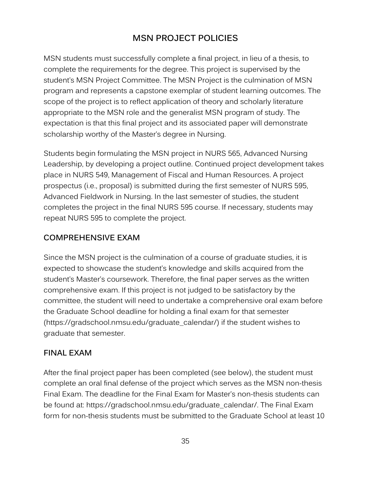## **MSN PROJECT POLICIES**

<span id="page-38-0"></span>MSN students must successfully complete a final project, in lieu of a thesis, to complete the requirements for the degree. This project is supervised by the student's MSN Project Committee. The MSN Project is the culmination of MSN program and represents a capstone exemplar of student learning outcomes. The scope of the project is to reflect application of theory and scholarly literature appropriate to the MSN role and the generalist MSN program of study. The expectation is that this final project and its associated paper will demonstrate scholarship worthy of the Master's degree in Nursing.

Students begin formulating the MSN project in NURS 565, Advanced Nursing Leadership, by developing a project outline. Continued project development takes place in NURS 549, Management of Fiscal and Human Resources. A project prospectus (i.e., proposal) is submitted during the first semester of NURS 595, Advanced Fieldwork in Nursing. In the last semester of studies, the student completes the project in the final NURS 595 course. If necessary, students may repeat NURS 595 to complete the project.

#### <span id="page-38-1"></span>**COMPREHENSIVE EXAM**

Since the MSN project is the culmination of a course of graduate studies, it is expected to showcase the student's knowledge and skills acquired from the student's Master's coursework. Therefore, the final paper serves as the written comprehensive exam. If this project is not judged to be satisfactory by the committee, the student will need to undertake a comprehensive oral exam before the Graduate School deadline for holding a final exam for that semester (https://gradschool.nmsu.edu/graduate\_calendar/) if the student wishes to graduate that semester.

#### <span id="page-38-2"></span>**FINAL EXAM**

After the final project paper has been completed (see below), the student must complete an oral final defense of the project which serves as the MSN non-thesis Final Exam. The deadline for the Final Exam for Master's non-thesis students can be found at: https://gradschool.nmsu.edu/graduate\_calendar/. The Final Exam form for non-thesis students must be submitted to the Graduate School at least 10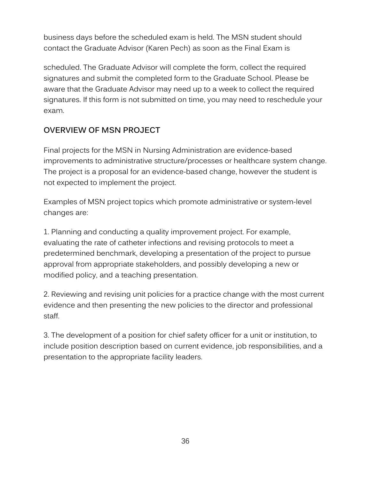business days before the scheduled exam is held. The MSN student should contact the Graduate Advisor (Karen Pech) as soon as the Final Exam is

scheduled. The Graduate Advisor will complete the form, collect the required signatures and submit the completed form to the Graduate School. Please be aware that the Graduate Advisor may need up to a week to collect the required signatures. If this form is not submitted on time, you may need to reschedule your exam.

#### <span id="page-39-0"></span>**OVERVIEW OF MSN PROJECT**

Final projects for the MSN in Nursing Administration are evidence-based improvements to administrative structure/processes or healthcare system change. The project is a proposal for an evidence-based change, however the student is not expected to implement the project.

Examples of MSN project topics which promote administrative or system-level changes are:

1. Planning and conducting a quality improvement project. For example, evaluating the rate of catheter infections and revising protocols to meet a predetermined benchmark, developing a presentation of the project to pursue approval from appropriate stakeholders, and possibly developing a new or modified policy, and a teaching presentation.

2. Reviewing and revising unit policies for a practice change with the most current evidence and then presenting the new policies to the director and professional staff.

3. The development of a position for chief safety officer for a unit or institution, to include position description based on current evidence, job responsibilities, and a presentation to the appropriate facility leaders.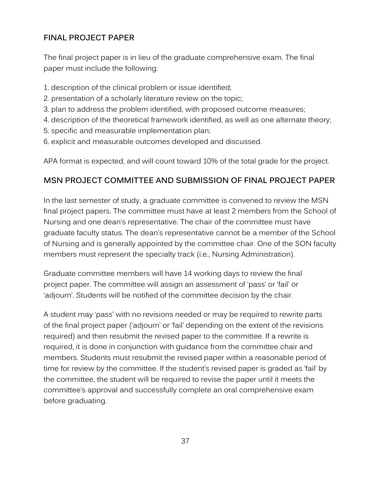#### <span id="page-40-0"></span>**FINAL PROJECT PAPER**

The final project paper is in lieu of the graduate comprehensive exam. The final paper must include the following:

- 1. description of the clinical problem or issue identified;
- 2. presentation of a scholarly literature review on the topic;
- 3. plan to address the problem identified, with proposed outcome measures;
- 4. description of the theoretical framework identified, as well as one alternate theory;
- 5. specific and measurable implementation plan;
- 6. explicit and measurable outcomes developed and discussed.

APA format is expected, and will count toward 10% of the total grade for the project.

#### <span id="page-40-1"></span>**MSN PROJECT COMMITTEE AND SUBMISSION OF FINAL PROJECT PAPER**

In the last semester of study, a graduate committee is convened to review the MSN final project papers. The committee must have at least 2 members from the School of Nursing and one dean's representative. The chair of the committee must have graduate faculty status. The dean's representative cannot be a member of the School of Nursing and is generally appointed by the committee chair. One of the SON faculty members must represent the specialty track (i.e., Nursing Administration).

Graduate committee members will have 14 working days to review the final project paper. The committee will assign an assessment of 'pass' or 'fail' or 'adjourn'. Students will be notified of the committee decision by the chair.

A student may 'pass' with no revisions needed or may be required to rewrite parts of the final project paper ('adjourn' or 'fail' depending on the extent of the revisions required) and then resubmit the revised paper to the committee. If a rewrite is required, it is done in conjunction with guidance from the committee chair and members. Students must resubmit the revised paper within a reasonable period of time for review by the committee. If the student's revised paper is graded as 'fail' by the committee, the student will be required to revise the paper until it meets the committee's approval and successfully complete an oral comprehensive exam before graduating.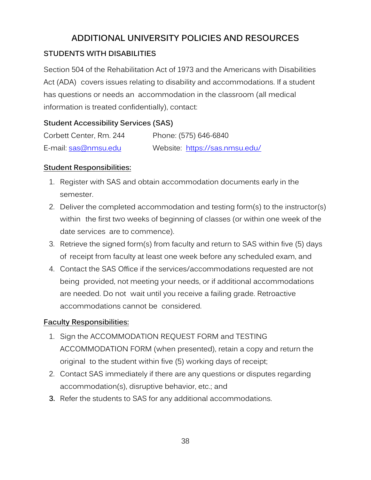## **ADDITIONAL UNIVERSITY POLICIES AND RESOURCES**

#### <span id="page-41-1"></span><span id="page-41-0"></span>**STUDENTS WITH DISABILITIES**

Section 504 of the Rehabilitation Act of 1973 and the Americans with Disabilities Act (ADA) covers issues relating to disability and accommodations. If a student has questions or needs an accommodation in the classroom (all medical information is treated confidentially), contact:

#### **Student Accessibility Services (SAS)**

| Corbett Center, Rm. 244 | Phone: (575) 646-6840          |
|-------------------------|--------------------------------|
| E-mail: sas@nmsu.edu    | Website: https://sas.nmsu.edu/ |

#### **Student Responsibilities:**

- 1. Register with SAS and obtain accommodation documents early in the semester.
- 2. Deliver the completed accommodation and testing form(s) to the instructor(s) within the first two weeks of beginning of classes (or within one week of the date services are to commence).
- 3. Retrieve the signed form(s) from faculty and return to SAS within five (5) days of receipt from faculty at least one week before any scheduled exam, and
- 4. Contact the SAS Office if the services/accommodations requested are not being provided, not meeting your needs, or if additional accommodations are needed. Do not wait until you receive a failing grade. Retroactive accommodations cannot be considered.

#### **Faculty Responsibilities:**

- 1. Sign the ACCOMMODATION REQUEST FORM and TESTING ACCOMMODATION FORM (when presented), retain a copy and return the original to the student within five (5) working days of receipt;
- 2. Contact SAS immediately if there are any questions or disputes regarding accommodation(s), disruptive behavior, etc.; and
- **3.** Refer the students to SAS for any additional accommodations.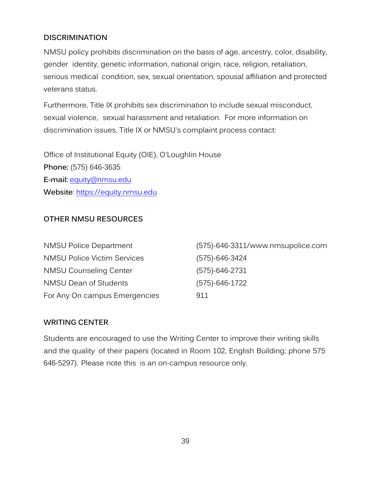#### <span id="page-42-0"></span>**DISCRIMINATION**

NMSU policy prohibits discrimination on the basis of age, ancestry, color, disability, gender identity, genetic information, national origin, race, religion, retaliation, serious medical condition, sex, sexual orientation, spousal affiliation and protected veterans status.

Furthermore, Title IX prohibits sex discrimination to include sexual misconduct, sexual violence, sexual harassment and retaliation. For more information on discrimination issues, Title IX or NMSU's complaint process contact:

Office of Institutional Equity (OIE), O'Loughlin House **Phone:** (575) 646-3635 **E-mail:** [equity@nmsu.edu](mailto:equity@nmsu.edu) **Website**: [https://equity.nmsu.edu](https://equity.nmsu.edu/)

#### <span id="page-42-1"></span>**OTHER NMSU RESOURCES**

| <b>NMSU Police Department</b>      | (575)-646-3311/www.nmsupolice.com |
|------------------------------------|-----------------------------------|
| <b>NMSU Police Victim Services</b> | $(575) - 646 - 3424$              |
| <b>NMSU Counseling Center</b>      | $(575) - 646 - 2731$              |
| <b>NMSU Dean of Students</b>       | $(575) - 646 - 1722$              |
| For Any On campus Emergencies      | 911                               |

#### <span id="page-42-2"></span>**WRITING CENTER**

Students are encouraged to use the Writing Center to improve their writing skills and the quality of their papers (located in Room 102, English Building; phone 575 646-5297). Please note this is an on-campus resource only.